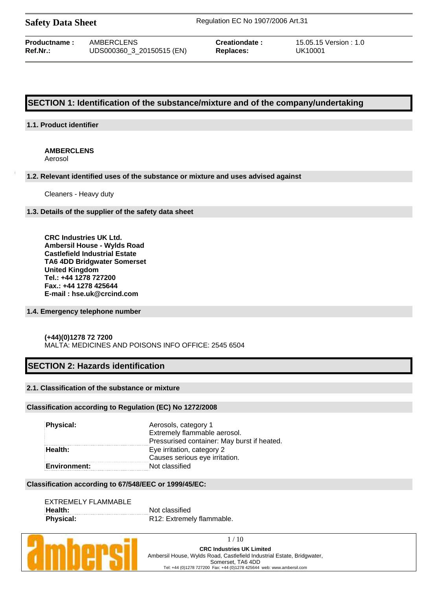| <b>Safety Data Sheet</b> |  |  |
|--------------------------|--|--|
|--------------------------|--|--|

**Safety Data Sheet** Regulation EC No 1907/2006 Art.31

| <b>Productname :</b> | AMBERCLENS                |  |  |  |  |
|----------------------|---------------------------|--|--|--|--|
| Ref.Nr.:             | UDS000360_3_20150515 (EN) |  |  |  |  |

**Replaces:** UK10001

**Creationdate :**  $15.05.15$  Version : 1.0

# **SECTION 1: Identification of the substance/mixture and of the company/undertaking**

### **1.1. Product identifier**

### **AMBERCLENS**

Aerosol

#### **1.2. Relevant identified uses of the substance or mixture and uses advised against**

Cleaners - Heavy duty

### **1.3. Details of the supplier of the safety data sheet**

**CRC Industries UK Ltd. Ambersil House - Wylds Road Castlefield Industrial Estate TA6 4DD Bridgwater Somerset United Kingdom Tel.: +44 1278 727200 Fax.: +44 1278 425644 E-mail : hse.uk@crcind.com**

### **1.4. Emergency telephone number**

### **(+44)(0)1278 72 7200**  MALTA: MEDICINES AND POISONS INFO OFFICE: 2545 6504

# **SECTION 2: Hazards identification**

### **2.1. Classification of the substance or mixture**

### **Classification according to Regulation (EC) No 1272/2008**

| <b>Physical:</b>    | Aerosols, category 1<br>Extremely flammable aerosol. |
|---------------------|------------------------------------------------------|
|                     | Pressurised container: May burst if heated.          |
| Health:             | Eye irritation, category 2                           |
|                     | Causes serious eye irritation.                       |
| <b>Environment:</b> | Not classified                                       |

#### **Classification according to 67/548/EEC or 1999/45/EC:**

| EXTREMELY FLAMMABLE |                           |
|---------------------|---------------------------|
| Health:             | Not classified            |
| <b>Physical:</b>    | R12: Extremely flammable. |



1 / 10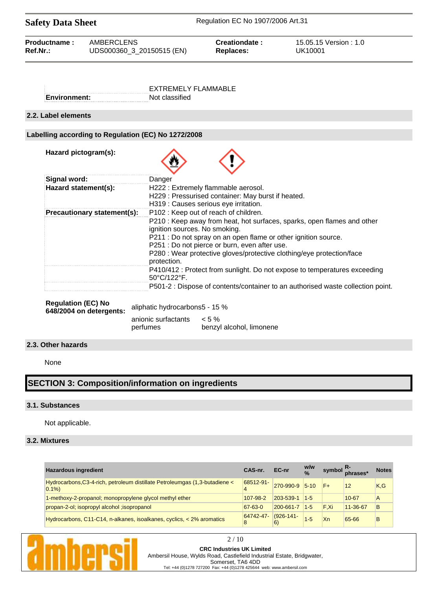| <b>Safety Data Sheet</b> |                           | Regulation EC No 1907/2006 Art.31 |                        |  |  |
|--------------------------|---------------------------|-----------------------------------|------------------------|--|--|
| Productname:             | AMBERCLENS                | Creationdate:                     | 15.05.15 Version : 1.0 |  |  |
| $Ref.Nr.$ :              | UDS000360_3_20150515 (EN) | Replaces:                         | UK10001                |  |  |

|               | FXTREMELY FLAMMABLE |
|---------------|---------------------|
| ∶Environment: | Not classified      |

### **2.2. Label elements**

### **Labelling according to Regulation (EC) No 1272/2008**

| Hazard pictogram(s):        |                                                                                                                                                                                                                                                                                                                                                             |
|-----------------------------|-------------------------------------------------------------------------------------------------------------------------------------------------------------------------------------------------------------------------------------------------------------------------------------------------------------------------------------------------------------|
| Signal word:                | Danger                                                                                                                                                                                                                                                                                                                                                      |
| Hazard statement(s):        | H222 : Extremely flammable aerosol.<br>H229 : Pressurised container: May burst if heated.<br>H319 : Causes serious eye irritation.                                                                                                                                                                                                                          |
| Precautionary statement(s): | P102: Keep out of reach of children.<br>P210 : Keep away from heat, hot surfaces, sparks, open flames and other<br>ignition sources. No smoking.<br>P211 : Do not spray on an open flame or other ignition source.<br>P251 : Do not pierce or burn, even after use.<br>P280 : Wear protective gloves/protective clothing/eye protection/face<br>protection. |
|                             | P410/412 : Protect from sunlight. Do not expose to temperatures exceeding<br>$50^{\circ}$ C/122 $^{\circ}$ F.                                                                                                                                                                                                                                               |
|                             | P501-2 : Dispose of contents/container to an authorised waste collection point.                                                                                                                                                                                                                                                                             |

| <b>Regulation (EC) No</b><br>648/2004 on detergents: | aliphatic hydrocarbons 5 - 15 % |                                     |  |  |  |  |
|------------------------------------------------------|---------------------------------|-------------------------------------|--|--|--|--|
|                                                      | anionic surfactants<br>perfumes | $< 5\%$<br>benzyl alcohol, limonene |  |  |  |  |

### **2.3. Other hazards**

None

# **SECTION 3: Composition/information on ingredients**

#### **3.1. Substances**

Not applicable.

### **3.2. Mixtures**

| <b>Hazardous ingredient</b>                                                            | CAS-nr.       | EC-nr          | w/w<br>$\frac{0}{0}$ |      | symbol R-<br>phrases* | <b>Notes</b> |
|----------------------------------------------------------------------------------------|---------------|----------------|----------------------|------|-----------------------|--------------|
| Hydrocarbons, C3-4-rich, petroleum distillate Petroleumgas (1,3-butadiene <<br>$0.1\%$ | 68512-91-     | 270-990-9      | $5 - 10$             |      | 12                    | K,G          |
| 1-methoxy-2-propanol; monopropylene glycol methyl ether                                | 107-98-2      | 203-539-1      | $1 - 5$              |      | $10 - 67$             | A            |
| propan-2-ol; isopropyl alcohol ; isopropanol                                           | $67 - 63 - 0$ | 200-661-7      | $1-5$                | F.Xi | 11-36-67              | B            |
| Hydrocarbons, C11-C14, n-alkanes, isoalkanes, cyclics, < 2% aromatics                  | 64742-47-     | $(926 - 141 -$ |                      | Xn   | 65-66                 | B            |

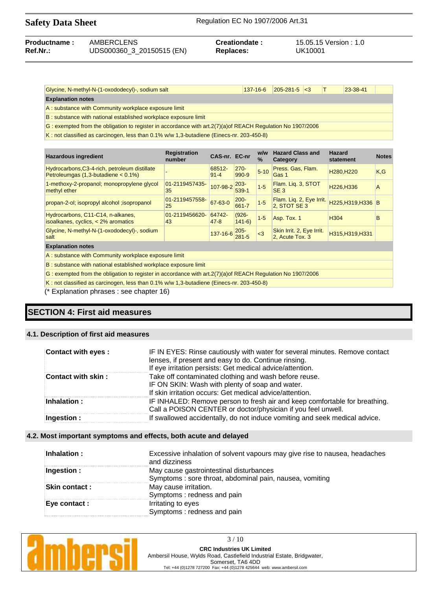| <b>Safety Data Sheet</b> |                           | Regulation EC No 1907/2006 Art.31 |                        |  |  |
|--------------------------|---------------------------|-----------------------------------|------------------------|--|--|
| Productname:             | AMBERCLENS                | Creationdate:                     | 15.05.15 Version : 1.0 |  |  |
| Ref.Nr.:                 | UDS000360_3_20150515 (EN) | <b>Replaces:</b>                  | UK10001                |  |  |

| Glycine, N-methyl-N-(1-oxododecyl)-, sodium salt                                                              | 137-16-6 | $ 205 - 281 - 5  < 3$ |  |  | 23-38-41 |  |
|---------------------------------------------------------------------------------------------------------------|----------|-----------------------|--|--|----------|--|
| <b>Explanation notes</b>                                                                                      |          |                       |  |  |          |  |
| A: substance with Community workplace exposure limit                                                          |          |                       |  |  |          |  |
| B: substance with national established workplace exposure limit                                               |          |                       |  |  |          |  |
| G: exempted from the obligation to register in accordance with $art.2(7)(a)$ of REACH Regulation No 1907/2006 |          |                       |  |  |          |  |

K : not classified as carcinogen, less than 0.1% w/w 1,3-butadiene (Einecs-nr. 203-450-8)

| <b>Hazardous ingredient</b>                                                                                    | <b>Registration</b><br>number | CAS-nr. EC-nr      |                      | w/w<br>$\%$ | <b>Hazard Class and</b><br>Category          | <b>Hazard</b><br>statement          | <b>Notes</b> |  |
|----------------------------------------------------------------------------------------------------------------|-------------------------------|--------------------|----------------------|-------------|----------------------------------------------|-------------------------------------|--------------|--|
| Hydrocarbons, C3-4-rich, petroleum distillate<br>Petroleumgas $(1,3$ -butadiene < $0.1\%$ )                    |                               | 68512-<br>$91 - 4$ | $270 -$<br>990-9     | $5 - 10$    | Press. Gas, Flam.<br>Gas 1                   | H <sub>280</sub> , H <sub>220</sub> | K,G          |  |
| 1-methoxy-2-propanol; monopropylene glycol<br>methyl ether                                                     | 01-2119457435-<br>35          | 107-98-2           | $203 -$<br>539-1     | $1 - 5$     | Flam. Lig. 3, STOT<br>SE <sub>3</sub>        | H226, H336                          | A            |  |
| propan-2-ol; isopropyl alcohol ; isopropanol                                                                   | 01-2119457558-<br>25          | 67-63-0            | $200 -$<br>$661 - 7$ | $1-5$       | Flam. Liq. 2, Eye Irrit.<br>2, STOT SE 3     | H225, H319, H336 B                  |              |  |
| Hydrocarbons, C11-C14, n-alkanes,<br>isoalkanes, cyclics, $<$ 2% aromatics                                     | 01-2119456620-<br>43          | 64742-<br>$47-8$   | $(926 -$<br>$141-6$  | $1 - 5$     | Asp. Tox. 1                                  | H304                                | B            |  |
| Glycine, N-methyl-N-(1-oxododecyl)-, sodium<br>salt                                                            |                               | $137 - 16 - 6$ 205 |                      | $\leq$ 3    | Skin Irrit. 2, Eye Irrit.<br>2, Acute Tox. 3 | H315, H319, H331                    |              |  |
| <b>Explanation notes</b>                                                                                       |                               |                    |                      |             |                                              |                                     |              |  |
| A: substance with Community workplace exposure limit                                                           |                               |                    |                      |             |                                              |                                     |              |  |
| B: substance with national established workplace exposure limit                                                |                               |                    |                      |             |                                              |                                     |              |  |
| G: exempted from the obligation to register in accordance with art. $2(7)(a)$ of REACH Regulation No 1907/2006 |                               |                    |                      |             |                                              |                                     |              |  |

K : not classified as carcinogen, less than 0.1% w/w 1,3-butadiene (Einecs-nr. 203-450-8)

(\* Explanation phrases : see chapter 16)

# **SECTION 4: First aid measures**

### **4.1. Description of first aid measures**

| Contact with eyes : | IF IN EYES: Rinse cautiously with water for several minutes. Remove contact<br>lenses, if present and easy to do. Continue rinsing.<br>If eye irritation persists: Get medical advice/attention. |
|---------------------|--------------------------------------------------------------------------------------------------------------------------------------------------------------------------------------------------|
| Contact with skin:  | Take off contaminated clothing and wash before reuse.<br>IF ON SKIN: Wash with plenty of soap and water.<br>If skin irritation occurs: Get medical advice/attention.                             |
| Inhalation:         | IF INHALED: Remove person to fresh air and keep comfortable for breathing.<br>Call a POISON CENTER or doctor/physician if you feel unwell.                                                       |
| Ingestion :         | If swallowed accidentally, do not induce vomiting and seek medical advice.                                                                                                                       |

### **4.2. Most important symptoms and effects, both acute and delayed**

| Inhalation :  | Excessive inhalation of solvent vapours may give rise to nausea, headaches<br>and dizziness |
|---------------|---------------------------------------------------------------------------------------------|
| Ingestion:    | May cause gastrointestinal disturbances                                                     |
|               | Symptoms: sore throat, abdominal pain, nausea, vomiting                                     |
| Skin contact: | May cause irritation.                                                                       |
|               | Symptoms: redness and pain                                                                  |
| Eye contact : | Irritating to eyes                                                                          |
|               | Symptoms: redness and pain                                                                  |

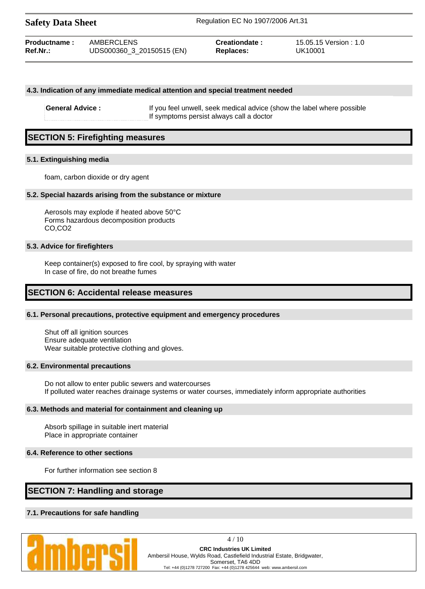| <b>Safety Data Sheet</b> |                           | Regulation EC No 1907/2006 Art.31 |                        |  |
|--------------------------|---------------------------|-----------------------------------|------------------------|--|
| <b>Productname:</b>      | AMBERCLENS                | Creationdate:                     | 15.05.15 Version : 1.0 |  |
| Ref.Nr.:                 | UDS000360_3_20150515 (EN) | <b>Replaces:</b>                  | UK10001                |  |

#### **4.3. Indication of any immediate medical attention and special treatment needed**

**General Advice :** If you feel unwell, seek medical advice (show the label where possible If symptoms persist always call a doctor

# **SECTION 5: Firefighting measures**

#### **5.1. Extinguishing media**

foam, carbon dioxide or dry agent

#### **5.2. Special hazards arising from the substance or mixture**

Aerosols may explode if heated above 50°C Forms hazardous decomposition products CO,CO2

#### **5.3. Advice for firefighters**

Keep container(s) exposed to fire cool, by spraying with water In case of fire, do not breathe fumes

### **SECTION 6: Accidental release measures**

#### **6.1. Personal precautions, protective equipment and emergency procedures**

Shut off all ignition sources Ensure adequate ventilation Wear suitable protective clothing and gloves.

#### **6.2. Environmental precautions**

Do not allow to enter public sewers and watercourses If polluted water reaches drainage systems or water courses, immediately inform appropriate authorities

#### **6.3. Methods and material for containment and cleaning up**

Absorb spillage in suitable inert material Place in appropriate container

#### **6.4. Reference to other sections**

For further information see section 8

# **SECTION 7: Handling and storage**

### **7.1. Precautions for safe handling**



4 / 10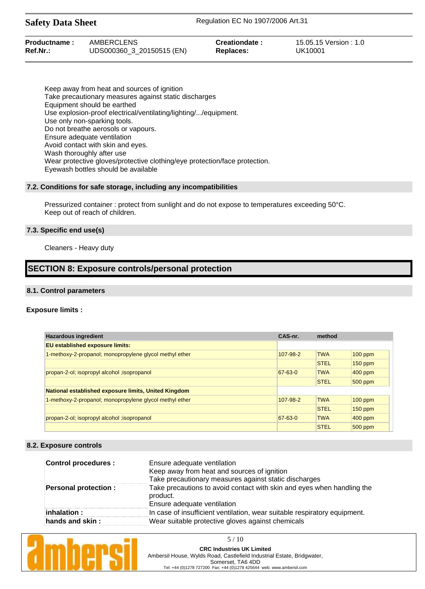| <b>Safety Data Sheet</b> |                           | Regulation EC No 1907/2006 Art.31 |                        |  |
|--------------------------|---------------------------|-----------------------------------|------------------------|--|
| Productname:             | AMBERCLENS                | Creationdate:                     | 15.05.15 Version : 1.0 |  |
| Ref.Nr.:                 | UDS000360 3 20150515 (EN) | Replaces:                         | UK10001                |  |

Keep away from heat and sources of ignition Take precautionary measures against static discharges Equipment should be earthed Use explosion-proof electrical/ventilating/lighting/.../equipment. Use only non-sparking tools. Do not breathe aerosols or vapours. Ensure adequate ventilation Avoid contact with skin and eyes. Wash thoroughly after use Wear protective gloves/protective clothing/eye protection/face protection. Eyewash bottles should be available

#### **7.2. Conditions for safe storage, including any incompatibilities**

Pressurized container : protect from sunlight and do not expose to temperatures exceeding 50°C. Keep out of reach of children.

#### **7.3. Specific end use(s)**

Cleaners - Heavy duty

### **SECTION 8: Exposure controls/personal protection**

#### **8.1. Control parameters**

#### **Exposure limits :**

| <b>Hazardous ingredient</b>                             | CAS-nr.   | method      |            |
|---------------------------------------------------------|-----------|-------------|------------|
| <b>EU established exposure limits:</b>                  |           |             |            |
| 1-methoxy-2-propanol; monopropylene glycol methyl ether | 107-98-2  | <b>TWA</b>  | $100$ ppm  |
|                                                         |           | <b>STEL</b> | $150$ ppm  |
| propan-2-ol; isopropyl alcohol ; isopropanol            | $67-63-0$ | <b>TWA</b>  | $400$ ppm  |
|                                                         |           | <b>STEL</b> | $500$ ppm  |
| National established exposure limits, United Kingdom    |           |             |            |
| 1-methoxy-2-propanol; monopropylene glycol methyl ether | 107-98-2  | <b>TWA</b>  | $100$ ppm  |
|                                                         |           | <b>STEL</b> | $150$ ppm  |
| propan-2-ol; isopropyl alcohol ; isopropanol            | $67-63-0$ | <b>TWA</b>  | $ 400$ ppm |
|                                                         |           | <b>STEL</b> | $500$ ppm  |

#### **8.2. Exposure controls**

| <b>Control procedures:</b>  | Ensure adequate ventilation<br>Keep away from heat and sources of ignition<br>Take precautionary measures against static discharges |
|-----------------------------|-------------------------------------------------------------------------------------------------------------------------------------|
| <b>Personal protection:</b> | Take precautions to avoid contact with skin and eyes when handling the<br>product.<br>Ensure adequate ventilation                   |
| inhalation :                | In case of insufficient ventilation, wear suitable respiratory equipment.                                                           |
| hands and skin:             | Wear suitable protective gloves against chemicals                                                                                   |

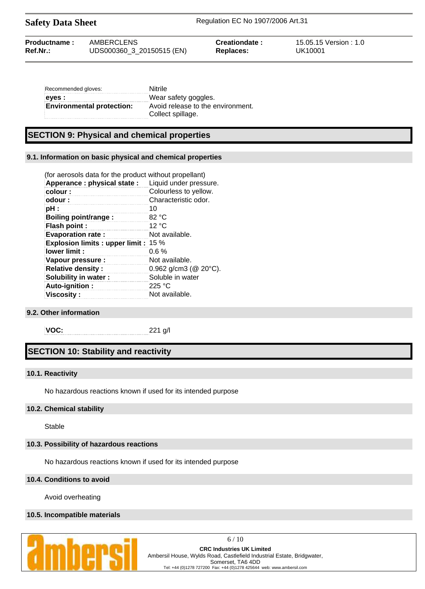Safety Data Sheet Regulation EC No 1907/2006 Art.31

| Recommended gloves:              | Nitrile                                                |
|----------------------------------|--------------------------------------------------------|
| eyes :                           | Wear safety goggles.                                   |
| <b>Environmental protection:</b> | Avoid release to the environment.<br>Collect spillage. |

# **SECTION 9: Physical and chemical properties**

### **9.1. Information on basic physical and chemical properties**

| (for aerosols data for the product without propellant) |                              |
|--------------------------------------------------------|------------------------------|
| Apperance: physical state:                             | Liquid under pressure.       |
| colour:                                                | Colourless to yellow.        |
| odour:                                                 | Characteristic odor.         |
| pH :                                                   | 10                           |
| Boiling point/range:                                   | 82 °C                        |
| <b>Flash point:</b>                                    | 12 °C                        |
| <b>Evaporation rate:</b>                               | Not available.               |
| <b>Explosion limits: upper limit: 15 %</b>             |                              |
| lower limit:                                           | $0.6\%$                      |
| Vapour pressure :                                      | Not available.               |
| <b>Relative density:</b>                               | 0.962 g/cm3 ( $@$ 20 $°C$ ). |
| Solubility in water:                                   | Soluble in water             |
| Auto-ignition:                                         | 225 °C                       |
| <b>Viscosity:</b>                                      | Not available.               |

#### **9.2. Other information**

**VOC:** 221 g/l

# **SECTION 10: Stability and reactivity**

#### **10.1. Reactivity**

No hazardous reactions known if used for its intended purpose

### **10.2. Chemical stability**

Stable

#### **10.3. Possibility of hazardous reactions**

No hazardous reactions known if used for its intended purpose

### **10.4. Conditions to avoid**

Avoid overheating

#### **10.5. Incompatible materials**



6 / 10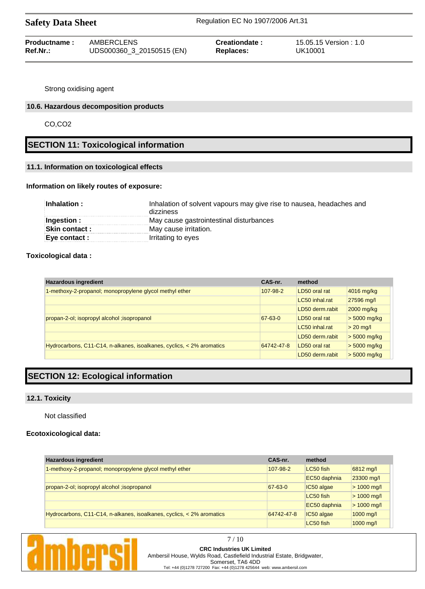| Productname: | AMBERCLENS                | Creationdate:    | 15.05.15 Version : 1.0 |
|--------------|---------------------------|------------------|------------------------|
| Ref.Nr.:     | UDS000360_3_20150515 (EN) | <b>Replaces:</b> | UK10001                |

Strong oxidising agent

### **10.6. Hazardous decomposition products**

CO,CO2

# **SECTION 11: Toxicological information**

### **11.1. Information on toxicological effects**

### **Information on likely routes of exposure:**

| Inhalation :   | Inhalation of solvent vapours may give rise to nausea, headaches and<br>dizziness |  |
|----------------|-----------------------------------------------------------------------------------|--|
| Ingestion :    | May cause gastrointestinal disturbances                                           |  |
| Skin contact : | May cause irritation.                                                             |  |
| Eye contact :  | Irritating to eyes                                                                |  |

### **Toxicological data :**

| <b>Hazardous ingredient</b>                                           | CAS-nr.    | method          |                |
|-----------------------------------------------------------------------|------------|-----------------|----------------|
| 1-methoxy-2-propanol; monopropylene glycol methyl ether               | 107-98-2   | LD50 oral rat   | 4016 mg/kg     |
|                                                                       |            | LC50 inhal.rat  | 27596 mg/l     |
|                                                                       |            | LD50 derm.rabit | $2000$ mg/kg   |
| propan-2-ol; isopropyl alcohol ; isopropanol                          | 67-63-0    | LD50 oral rat   | $> 5000$ mg/kg |
|                                                                       |            | LC50 inhal.rat  | $> 20$ mg/l    |
|                                                                       |            | LD50 derm.rabit | $> 5000$ mg/kg |
| Hydrocarbons, C11-C14, n-alkanes, isoalkanes, cyclics, < 2% aromatics | 64742-47-8 | LD50 oral rat   | $> 5000$ mg/kg |
|                                                                       |            | LD50 derm.rabit | $> 5000$ mg/kg |

# **SECTION 12: Ecological information**

#### **12.1. Toxicity**

Not classified

### **Ecotoxicological data:**

| <b>Hazardous ingredient</b>                                           | CAS-nr.    | method       |               |
|-----------------------------------------------------------------------|------------|--------------|---------------|
| 1-methoxy-2-propanol; monopropylene glycol methyl ether               | 107-98-2   | LC50 fish    | 6812 mg/l     |
|                                                                       |            | EC50 daphnia | 23300 mg/l    |
| propan-2-ol; isopropyl alcohol ; isopropanol                          | 67-63-0    | IC50 algae   | $> 1000$ mg/l |
|                                                                       |            | LC50 fish    | $> 1000$ mg/l |
|                                                                       |            | EC50 daphnia | $> 1000$ mg/l |
| Hydrocarbons, C11-C14, n-alkanes, isoalkanes, cyclics, < 2% aromatics | 64742-47-8 | IC50 algae   | $1000$ mg/l   |
|                                                                       |            | LC50 fish    | 1000 mg/l     |



7 / 10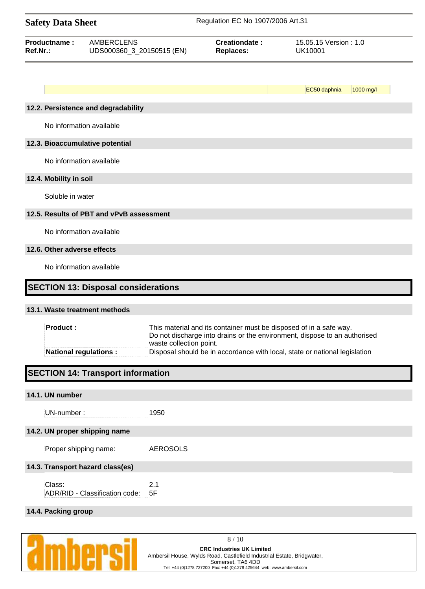| <b>Safety Data Sheet</b>        |                                                |                                                                                                                                                                            | Regulation EC No 1907/2006 Art.31                                          |  |  |
|---------------------------------|------------------------------------------------|----------------------------------------------------------------------------------------------------------------------------------------------------------------------------|----------------------------------------------------------------------------|--|--|
| Productname:<br>Ref.Nr.:        | <b>AMBERCLENS</b><br>UDS000360_3_20150515 (EN) | <b>Creationdate:</b><br><b>Replaces:</b>                                                                                                                                   | 15.05.15 Version: 1.0<br><b>UK10001</b>                                    |  |  |
|                                 |                                                |                                                                                                                                                                            | 1000 mg/l                                                                  |  |  |
|                                 | 12.2. Persistence and degradability            |                                                                                                                                                                            | EC50 daphnia                                                               |  |  |
| No information available        |                                                |                                                                                                                                                                            |                                                                            |  |  |
| 12.3. Bioaccumulative potential |                                                |                                                                                                                                                                            |                                                                            |  |  |
| No information available        |                                                |                                                                                                                                                                            |                                                                            |  |  |
| 12.4. Mobility in soil          |                                                |                                                                                                                                                                            |                                                                            |  |  |
| Soluble in water                |                                                |                                                                                                                                                                            |                                                                            |  |  |
|                                 | 12.5. Results of PBT and vPvB assessment       |                                                                                                                                                                            |                                                                            |  |  |
| No information available        |                                                |                                                                                                                                                                            |                                                                            |  |  |
| 12.6. Other adverse effects     |                                                |                                                                                                                                                                            |                                                                            |  |  |
| No information available        |                                                |                                                                                                                                                                            |                                                                            |  |  |
|                                 | <b>SECTION 13: Disposal considerations</b>     |                                                                                                                                                                            |                                                                            |  |  |
| 13.1. Waste treatment methods   |                                                |                                                                                                                                                                            |                                                                            |  |  |
| <b>Product:</b>                 |                                                | This material and its container must be disposed of in a safe way.<br>Do not discharge into drains or the environment, dispose to an authorised<br>waste collection point. |                                                                            |  |  |
| <b>National regulations:</b>    |                                                |                                                                                                                                                                            | Disposal should be in accordance with local, state or national legislation |  |  |
|                                 | <b>SECTION 14: Transport information</b>       |                                                                                                                                                                            |                                                                            |  |  |
| 14.1. UN number                 |                                                |                                                                                                                                                                            |                                                                            |  |  |
| UN-number:                      | 1950                                           |                                                                                                                                                                            |                                                                            |  |  |

# **14.2. UN proper shipping name**

Proper shipping name: AEROSOLS

### **14.3. Transport hazard class(es)**

Class: 2.1 ADR/RID - Classification code: 5F

### **14.4. Packing group**



8 / 10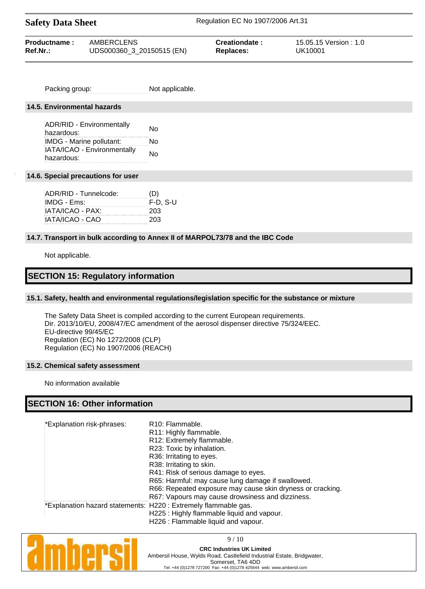| <b>Safety Data Sheet</b> |                           | Regulation EC No 1907/2006 Art.31 |                        |  |
|--------------------------|---------------------------|-----------------------------------|------------------------|--|
| Productname:             | AMBERCLENS                | Creationdate:                     | 15.05.15 Version : 1.0 |  |
| Ref.Nr.:                 | UDS000360_3_20150515 (EN) | Replaces:                         | UK10001                |  |

Packing group: Not applicable.

#### **14.5. Environmental hazards**

ADR/RID - Environmentally ADR/RID - Environmentally<br>hazardous: IMDG - Marine pollutant: No IATA/ICAO - Environmentally hazardous:<br>hazardous:

#### **14.6. Special precautions for user**

| ADR/RID - Tunnelcode: | (D)        |
|-----------------------|------------|
| IMDG - Ems:           | $F-D. S-U$ |
| IATA/ICAO - PAX:      | 203        |
| IATA/ICAO - CAO       | 203        |

### **14.7. Transport in bulk according to Annex II of MARPOL73/78 and the IBC Code**

Not applicable.

## **SECTION 15: Regulatory information**

#### **15.1. Safety, health and environmental regulations/legislation specific for the substance or mixture**

The Safety Data Sheet is compiled according to the current European requirements. Dir. 2013/10/EU, 2008/47/EC amendment of the aerosol dispenser directive 75/324/EEC. EU-directive 99/45/EC Regulation (EC) No 1272/2008 (CLP) Regulation (EC) No 1907/2006 (REACH)

#### **15.2. Chemical safety assessment**

No information available

# **SECTION 16: Other information**

| *Explanation risk-phrases: | R <sub>10</sub> : Flammable.                                    |
|----------------------------|-----------------------------------------------------------------|
|                            | R11: Highly flammable.                                          |
|                            | R12: Extremely flammable.                                       |
|                            | R23: Toxic by inhalation.                                       |
|                            | R36: Irritating to eyes.                                        |
|                            | R38: Irritating to skin.                                        |
|                            | R41: Risk of serious damage to eyes.                            |
|                            | R65: Harmful: may cause lung damage if swallowed.               |
|                            | R66: Repeated exposure may cause skin dryness or cracking.      |
|                            | R67: Vapours may cause drowsiness and dizziness.                |
|                            | *Explanation hazard statements: H220 : Extremely flammable gas. |
|                            | H225: Highly flammable liquid and vapour.                       |
|                            | H226 : Flammable liquid and vapour.                             |



9 / 10